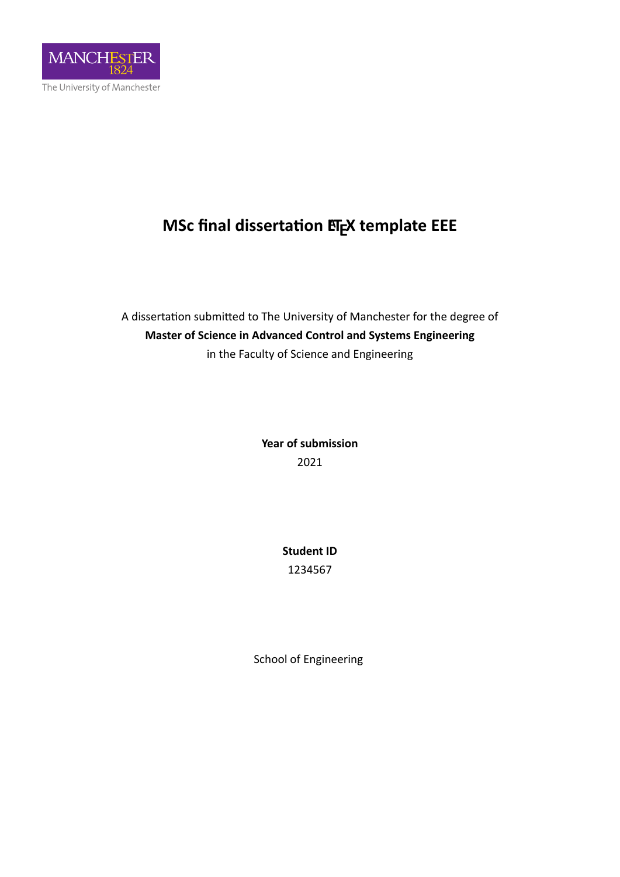

# **MSc final dissertation <b>ETEX** template EEE

A dissertation submitted to The University of Manchester for the degree of **Master of Science in Advanced Control and Systems Engineering** in the Faculty of Science and Engineering

> **Year of submission** 2021

> > **Student ID** 1234567

School of Engineering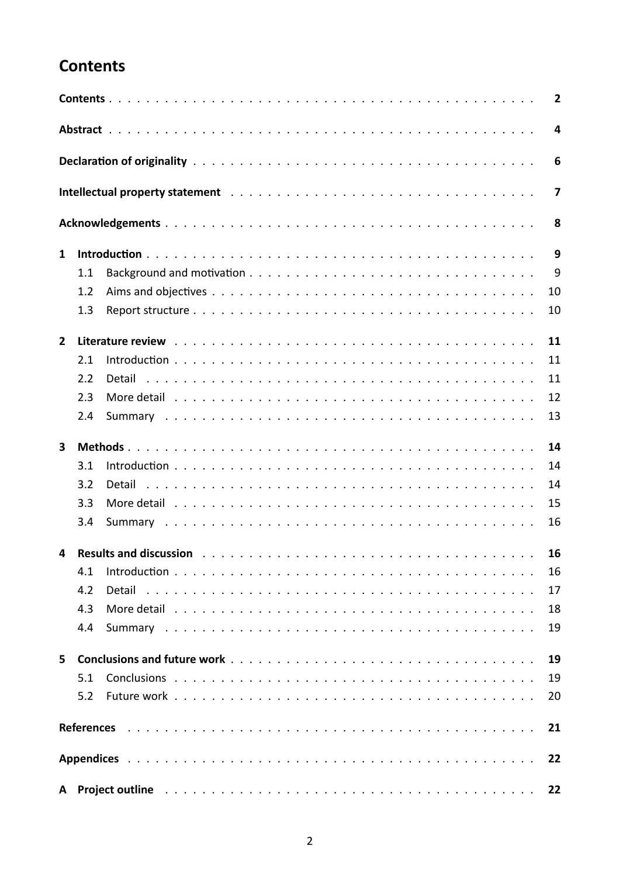# <span id="page-1-0"></span>**Contents**

|                | $\overline{2}$                                                                                                                                                                                                                                            |                                                                                                                                                                                                                                |  |  |  |  |  |  |  |  |    |  |
|----------------|-----------------------------------------------------------------------------------------------------------------------------------------------------------------------------------------------------------------------------------------------------------|--------------------------------------------------------------------------------------------------------------------------------------------------------------------------------------------------------------------------------|--|--|--|--|--|--|--|--|----|--|
|                | 4                                                                                                                                                                                                                                                         |                                                                                                                                                                                                                                |  |  |  |  |  |  |  |  |    |  |
|                | 6                                                                                                                                                                                                                                                         |                                                                                                                                                                                                                                |  |  |  |  |  |  |  |  |    |  |
|                | Intellectual property statement responses in the state of the state of the state of the state of the state of the state of the state of the state of the state of the state of the state of the state of the state of the stat<br>$\overline{\mathbf{z}}$ |                                                                                                                                                                                                                                |  |  |  |  |  |  |  |  |    |  |
|                | 8                                                                                                                                                                                                                                                         |                                                                                                                                                                                                                                |  |  |  |  |  |  |  |  |    |  |
| 1              |                                                                                                                                                                                                                                                           |                                                                                                                                                                                                                                |  |  |  |  |  |  |  |  | 9  |  |
|                | 1.1                                                                                                                                                                                                                                                       |                                                                                                                                                                                                                                |  |  |  |  |  |  |  |  | 9  |  |
|                | 1.2                                                                                                                                                                                                                                                       |                                                                                                                                                                                                                                |  |  |  |  |  |  |  |  | 10 |  |
|                | 1.3                                                                                                                                                                                                                                                       |                                                                                                                                                                                                                                |  |  |  |  |  |  |  |  | 10 |  |
| $\overline{2}$ |                                                                                                                                                                                                                                                           |                                                                                                                                                                                                                                |  |  |  |  |  |  |  |  | 11 |  |
|                | 2.1                                                                                                                                                                                                                                                       |                                                                                                                                                                                                                                |  |  |  |  |  |  |  |  | 11 |  |
|                | 2.2                                                                                                                                                                                                                                                       |                                                                                                                                                                                                                                |  |  |  |  |  |  |  |  | 11 |  |
|                | 2.3                                                                                                                                                                                                                                                       |                                                                                                                                                                                                                                |  |  |  |  |  |  |  |  | 12 |  |
|                | 2.4                                                                                                                                                                                                                                                       |                                                                                                                                                                                                                                |  |  |  |  |  |  |  |  | 13 |  |
| $\mathbf{3}$   |                                                                                                                                                                                                                                                           |                                                                                                                                                                                                                                |  |  |  |  |  |  |  |  | 14 |  |
|                | 3.1                                                                                                                                                                                                                                                       |                                                                                                                                                                                                                                |  |  |  |  |  |  |  |  | 14 |  |
|                | 3.2                                                                                                                                                                                                                                                       |                                                                                                                                                                                                                                |  |  |  |  |  |  |  |  | 14 |  |
|                | 3.3                                                                                                                                                                                                                                                       | More detail research research and a series are contained a series and a series and a series of the series of the                                                                                                               |  |  |  |  |  |  |  |  | 15 |  |
|                | 3.4                                                                                                                                                                                                                                                       |                                                                                                                                                                                                                                |  |  |  |  |  |  |  |  | 16 |  |
|                |                                                                                                                                                                                                                                                           | 4 Results and discussion                                                                                                                                                                                                       |  |  |  |  |  |  |  |  | 16 |  |
|                | 4.1                                                                                                                                                                                                                                                       |                                                                                                                                                                                                                                |  |  |  |  |  |  |  |  | 16 |  |
|                | 4.2                                                                                                                                                                                                                                                       |                                                                                                                                                                                                                                |  |  |  |  |  |  |  |  | 17 |  |
|                | 4.3                                                                                                                                                                                                                                                       | More detail research research and contact the contract of the contract of the contract of the details of the c                                                                                                                 |  |  |  |  |  |  |  |  | 18 |  |
|                | 4.4                                                                                                                                                                                                                                                       |                                                                                                                                                                                                                                |  |  |  |  |  |  |  |  | 19 |  |
| 5              |                                                                                                                                                                                                                                                           |                                                                                                                                                                                                                                |  |  |  |  |  |  |  |  | 19 |  |
|                | 5.1                                                                                                                                                                                                                                                       |                                                                                                                                                                                                                                |  |  |  |  |  |  |  |  | 19 |  |
|                | 5.2                                                                                                                                                                                                                                                       |                                                                                                                                                                                                                                |  |  |  |  |  |  |  |  | 20 |  |
|                | 21                                                                                                                                                                                                                                                        |                                                                                                                                                                                                                                |  |  |  |  |  |  |  |  |    |  |
|                |                                                                                                                                                                                                                                                           |                                                                                                                                                                                                                                |  |  |  |  |  |  |  |  | 22 |  |
|                |                                                                                                                                                                                                                                                           | A Project outline enterpreteration of the contract of the contract of the contract of the contract of the contract of the contract of the contract of the contract of the contract of the contract of the contract of the cont |  |  |  |  |  |  |  |  | 22 |  |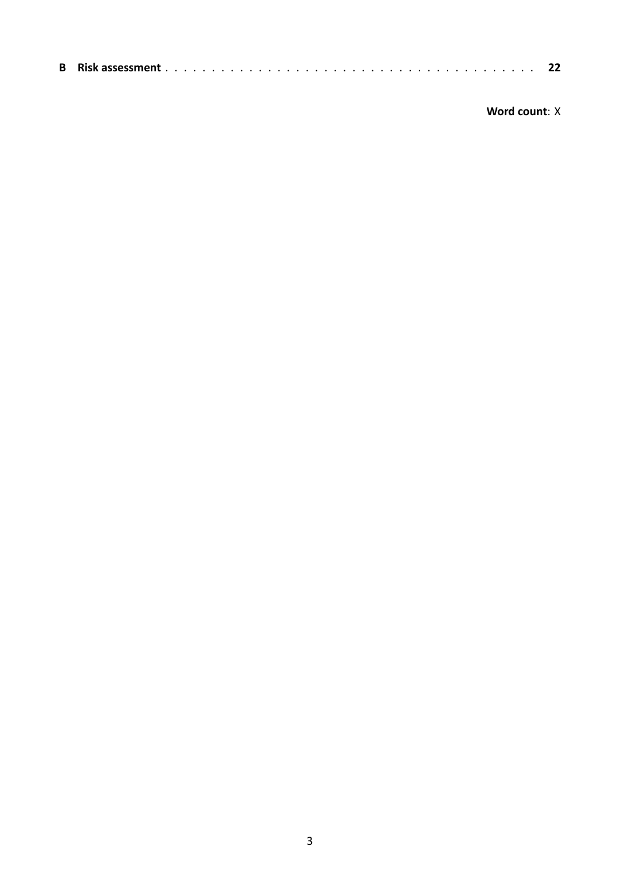|--|--|--|--|--|--|--|--|--|--|--|--|--|--|--|--|--|--|--|--|--|--|--|--|--|--|--|--|--|--|--|--|--|--|--|--|--|--|--|--|--|

**Word count**: X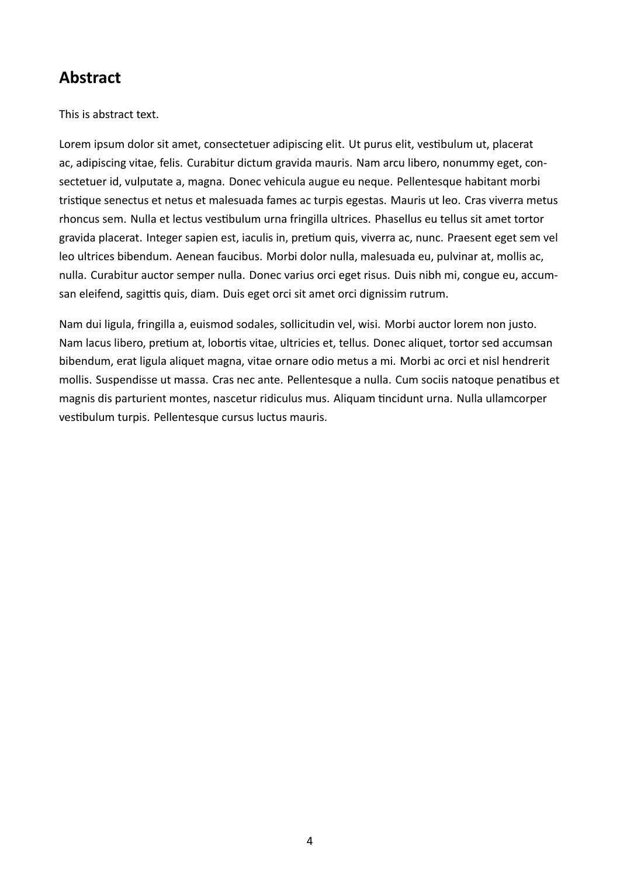## <span id="page-3-0"></span>**Abstract**

This is abstract text.

Lorem ipsum dolor sit amet, consectetuer adipiscing elit. Ut purus elit, vestibulum ut, placerat ac, adipiscing vitae, felis. Curabitur dictum gravida mauris. Nam arcu libero, nonummy eget, consectetuer id, vulputate a, magna. Donec vehicula augue eu neque. Pellentesque habitant morbi tristique senectus et netus et malesuada fames ac turpis egestas. Mauris ut leo. Cras viverra metus rhoncus sem. Nulla et lectus vestibulum urna fringilla ultrices. Phasellus eu tellus sit amet tortor gravida placerat. Integer sapien est, iaculis in, pretium quis, viverra ac, nunc. Praesent eget sem vel leo ultrices bibendum. Aenean faucibus. Morbi dolor nulla, malesuada eu, pulvinar at, mollis ac, nulla. Curabitur auctor semper nulla. Donec varius orci eget risus. Duis nibh mi, congue eu, accumsan eleifend, sagittis quis, diam. Duis eget orci sit amet orci dignissim rutrum.

Nam dui ligula, fringilla a, euismod sodales, sollicitudin vel, wisi. Morbi auctor lorem non justo. Nam lacus libero, pretium at, lobortis vitae, ultricies et, tellus. Donec aliquet, tortor sed accumsan bibendum, erat ligula aliquet magna, vitae ornare odio metus a mi. Morbi ac orci et nisl hendrerit mollis. Suspendisse ut massa. Cras nec ante. Pellentesque a nulla. Cum sociis natoque penatibus et magnis dis parturient montes, nascetur ridiculus mus. Aliquam tincidunt urna. Nulla ullamcorper vestibulum turpis. Pellentesque cursus luctus mauris.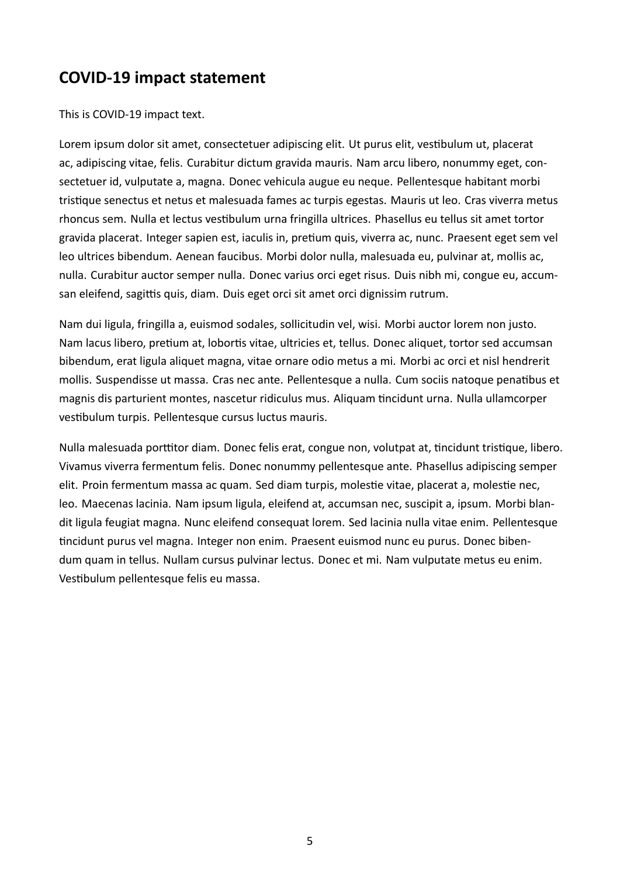## **COVID-19 impact statement**

This is COVID-19 impact text.

Lorem ipsum dolor sit amet, consectetuer adipiscing elit. Ut purus elit, vestibulum ut, placerat ac, adipiscing vitae, felis. Curabitur dictum gravida mauris. Nam arcu libero, nonummy eget, consectetuer id, vulputate a, magna. Donec vehicula augue eu neque. Pellentesque habitant morbi tristique senectus et netus et malesuada fames ac turpis egestas. Mauris ut leo. Cras viverra metus rhoncus sem. Nulla et lectus vestibulum urna fringilla ultrices. Phasellus eu tellus sit amet tortor gravida placerat. Integer sapien est, iaculis in, pretium quis, viverra ac, nunc. Praesent eget sem vel leo ultrices bibendum. Aenean faucibus. Morbi dolor nulla, malesuada eu, pulvinar at, mollis ac, nulla. Curabitur auctor semper nulla. Donec varius orci eget risus. Duis nibh mi, congue eu, accumsan eleifend, sagittis quis, diam. Duis eget orci sit amet orci dignissim rutrum.

Nam dui ligula, fringilla a, euismod sodales, sollicitudin vel, wisi. Morbi auctor lorem non justo. Nam lacus libero, pretium at, lobortis vitae, ultricies et, tellus. Donec aliquet, tortor sed accumsan bibendum, erat ligula aliquet magna, vitae ornare odio metus a mi. Morbi ac orci et nisl hendrerit mollis. Suspendisse ut massa. Cras nec ante. Pellentesque a nulla. Cum sociis natoque penatibus et magnis dis parturient montes, nascetur ridiculus mus. Aliquam tincidunt urna. Nulla ullamcorper vestibulum turpis. Pellentesque cursus luctus mauris.

Nulla malesuada porttitor diam. Donec felis erat, congue non, volutpat at, tincidunt tristique, libero. Vivamus viverra fermentum felis. Donec nonummy pellentesque ante. Phasellus adipiscing semper elit. Proin fermentum massa ac quam. Sed diam turpis, molestie vitae, placerat a, molestie nec, leo. Maecenas lacinia. Nam ipsum ligula, eleifend at, accumsan nec, suscipit a, ipsum. Morbi blandit ligula feugiat magna. Nunc eleifend consequat lorem. Sed lacinia nulla vitae enim. Pellentesque tincidunt purus vel magna. Integer non enim. Praesent euismod nunc eu purus. Donec bibendum quam in tellus. Nullam cursus pulvinar lectus. Donec et mi. Nam vulputate metus eu enim. Vestibulum pellentesque felis eu massa.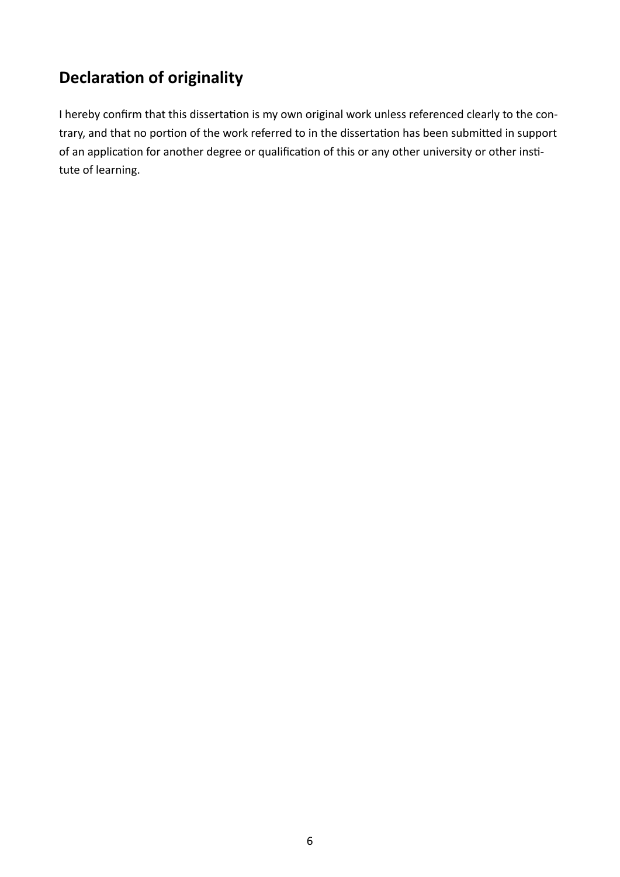# <span id="page-5-0"></span>**Declaration of originality**

I hereby confirm that this dissertation is my own original work unless referenced clearly to the contrary, and that no portion of the work referred to in the dissertation has been submitted in support of an application for another degree or qualification of this or any other university or other institute of learning.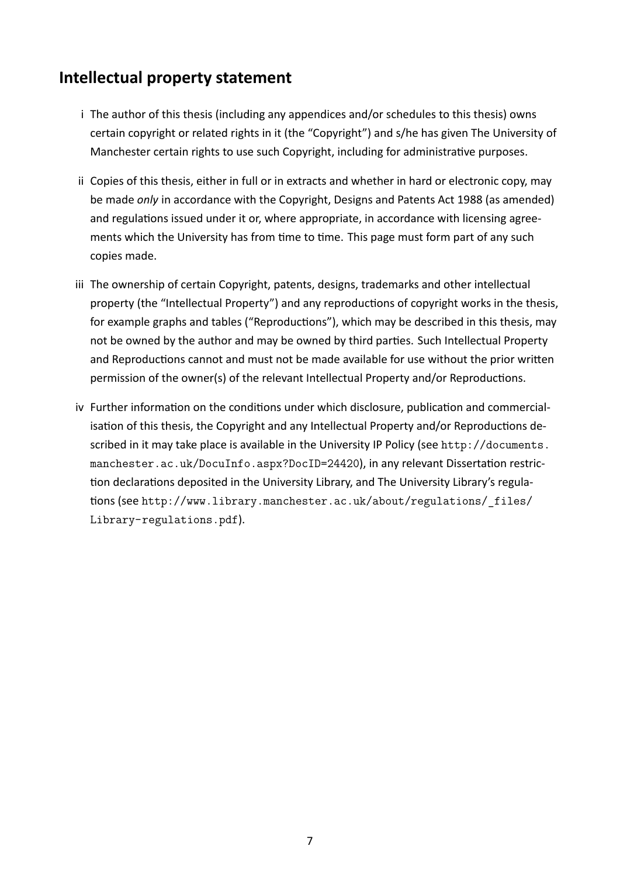## <span id="page-6-0"></span>**Intellectual property statement**

- i The author of this thesis (including any appendices and/or schedules to this thesis) owns certain copyright or related rights in it (the "Copyright") and s/he has given The University of Manchester certain rights to use such Copyright, including for administrative purposes.
- ii Copies of this thesis, either in full or in extracts and whether in hard or electronic copy, may be made *only* in accordance with the Copyright, Designs and Patents Act 1988 (as amended) and regulations issued under it or, where appropriate, in accordance with licensing agreements which the University has from time to time. This page must form part of any such copies made.
- iii The ownership of certain Copyright, patents, designs, trademarks and other intellectual property (the "Intellectual Property") and any reproductions of copyright works in the thesis, for example graphs and tables ("Reproductions"), which may be described in this thesis, may not be owned by the author and may be owned by third parties. Such Intellectual Property and Reproductions cannot and must not be made available for use without the prior written permission of the owner(s) of the relevant Intellectual Property and/or Reproductions.
- iv Further information on the conditions under which disclosure, publication and commercialisation of this thesis, the Copyright and any Intellectual Property and/or Reproductions described in it may take place is available in the University IP Policy (see [http://documents.](http://documents.manchester.ac.uk/DocuInfo.aspx?DocID=24420) [manchester.ac.uk/DocuInfo.aspx?DocID=24420](http://documents.manchester.ac.uk/DocuInfo.aspx?DocID=24420)), in any relevant Dissertation restriction declarations deposited in the University Library, and The University Library's regulations (see [http://www.library.manchester.ac.uk/about/regulations/\\_files/](http://www.library.manchester.ac.uk/about/regulations/_files/Library-regulations.pdf) [Library-regulations.pdf](http://www.library.manchester.ac.uk/about/regulations/_files/Library-regulations.pdf)).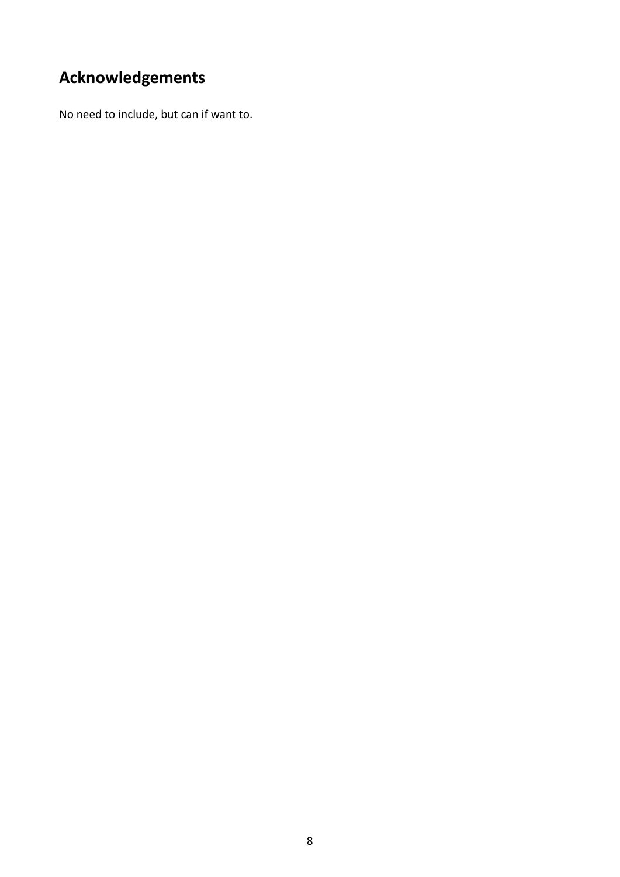# <span id="page-7-0"></span>**Acknowledgements**

No need to include, but can if want to.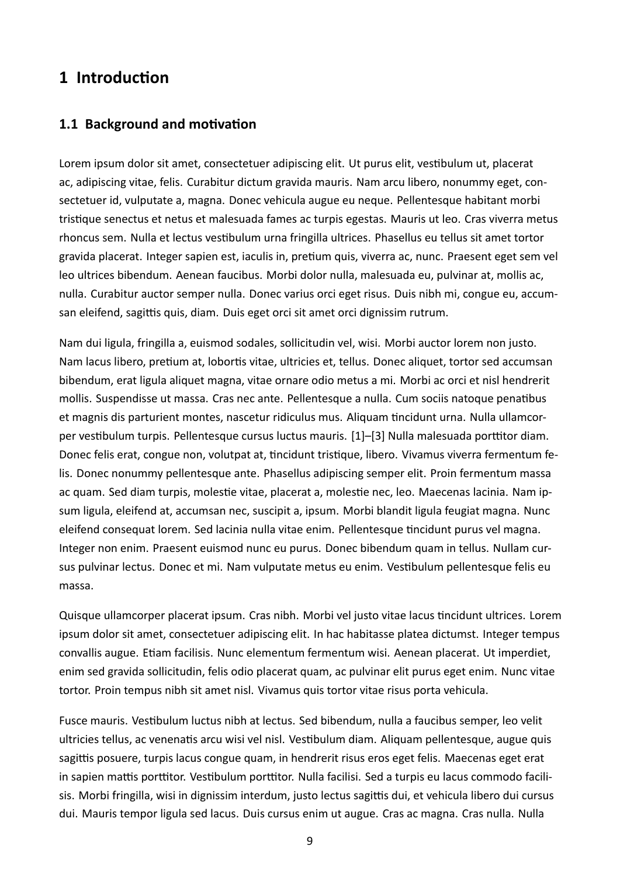## <span id="page-8-0"></span>**1 Introduction**

#### <span id="page-8-1"></span>**1.1 Background and motivation**

Lorem ipsum dolor sit amet, consectetuer adipiscing elit. Ut purus elit, vestibulum ut, placerat ac, adipiscing vitae, felis. Curabitur dictum gravida mauris. Nam arcu libero, nonummy eget, consectetuer id, vulputate a, magna. Donec vehicula augue eu neque. Pellentesque habitant morbi tristique senectus et netus et malesuada fames ac turpis egestas. Mauris ut leo. Cras viverra metus rhoncus sem. Nulla et lectus vestibulum urna fringilla ultrices. Phasellus eu tellus sit amet tortor gravida placerat. Integer sapien est, iaculis in, pretium quis, viverra ac, nunc. Praesent eget sem vel leo ultrices bibendum. Aenean faucibus. Morbi dolor nulla, malesuada eu, pulvinar at, mollis ac, nulla. Curabitur auctor semper nulla. Donec varius orci eget risus. Duis nibh mi, congue eu, accumsan eleifend, sagittis quis, diam. Duis eget orci sit amet orci dignissim rutrum.

Nam dui ligula, fringilla a, euismod sodales, sollicitudin vel, wisi. Morbi auctor lorem non justo. Nam lacus libero, pretium at, lobortis vitae, ultricies et, tellus. Donec aliquet, tortor sed accumsan bibendum, erat ligula aliquet magna, vitae ornare odio metus a mi. Morbi ac orci et nisl hendrerit mollis. Suspendisse ut massa. Cras nec ante. Pellentesque a nulla. Cum sociis natoque penatibus et magnis dis parturient montes, nascetur ridiculus mus. Aliquam tincidunt urna. Nulla ullamcorper vestibulum turpis. Pellentesque cursus luctus mauris. [\[1\]](#page-20-0)–[\[3\]](#page-20-1) Nulla malesuada porttitor diam. Donec felis erat, congue non, volutpat at, tincidunt tristique, libero. Vivamus viverra fermentum felis. Donec nonummy pellentesque ante. Phasellus adipiscing semper elit. Proin fermentum massa ac quam. Sed diam turpis, molestie vitae, placerat a, molestie nec, leo. Maecenas lacinia. Nam ipsum ligula, eleifend at, accumsan nec, suscipit a, ipsum. Morbi blandit ligula feugiat magna. Nunc eleifend consequat lorem. Sed lacinia nulla vitae enim. Pellentesque tincidunt purus vel magna. Integer non enim. Praesent euismod nunc eu purus. Donec bibendum quam in tellus. Nullam cursus pulvinar lectus. Donec et mi. Nam vulputate metus eu enim. Vestibulum pellentesque felis eu massa.

Quisque ullamcorper placerat ipsum. Cras nibh. Morbi vel justo vitae lacus tincidunt ultrices. Lorem ipsum dolor sit amet, consectetuer adipiscing elit. In hac habitasse platea dictumst. Integer tempus convallis augue. Etiam facilisis. Nunc elementum fermentum wisi. Aenean placerat. Ut imperdiet, enim sed gravida sollicitudin, felis odio placerat quam, ac pulvinar elit purus eget enim. Nunc vitae tortor. Proin tempus nibh sit amet nisl. Vivamus quis tortor vitae risus porta vehicula.

Fusce mauris. Vestibulum luctus nibh at lectus. Sed bibendum, nulla a faucibus semper, leo velit ultricies tellus, ac venenatis arcu wisi vel nisl. Vestibulum diam. Aliquam pellentesque, augue quis sagittis posuere, turpis lacus congue quam, in hendrerit risus eros eget felis. Maecenas eget erat in sapien mattis porttitor. Vestibulum porttitor. Nulla facilisi. Sed a turpis eu lacus commodo facilisis. Morbi fringilla, wisi in dignissim interdum, justo lectus sagittis dui, et vehicula libero dui cursus dui. Mauris tempor ligula sed lacus. Duis cursus enim ut augue. Cras ac magna. Cras nulla. Nulla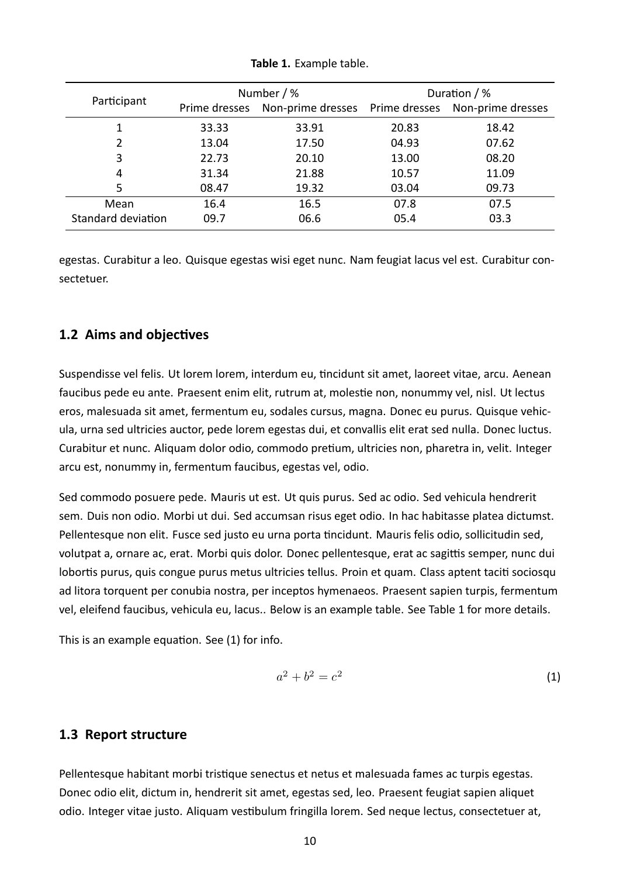<span id="page-9-2"></span>

|                    |               | Number / %        | Duration / % |                                 |  |  |  |  |  |
|--------------------|---------------|-------------------|--------------|---------------------------------|--|--|--|--|--|
| Participant        | Prime dresses | Non-prime dresses |              | Prime dresses Non-prime dresses |  |  |  |  |  |
| 1                  | 33.33         | 33.91             | 20.83        | 18.42                           |  |  |  |  |  |
| 2                  | 13.04         | 17.50             | 04.93        | 07.62                           |  |  |  |  |  |
| 3                  | 22.73         | 20.10             | 13.00        | 08.20                           |  |  |  |  |  |
| 4                  | 31.34         | 21.88             | 10.57        | 11.09                           |  |  |  |  |  |
| 5                  | 08.47         | 19.32             | 03.04        | 09.73                           |  |  |  |  |  |
| Mean               | 16.4          | 16.5              | 07.8         | 07.5                            |  |  |  |  |  |
| Standard deviation | 09.7          | 06.6              | 05.4         | 03.3                            |  |  |  |  |  |

**Table 1.** Example table.

egestas. Curabitur a leo. Quisque egestas wisi eget nunc. Nam feugiat lacus vel est. Curabitur consectetuer.

### <span id="page-9-0"></span>**1.2 Aims and objectives**

Suspendisse vel felis. Ut lorem lorem, interdum eu, tincidunt sit amet, laoreet vitae, arcu. Aenean faucibus pede eu ante. Praesent enim elit, rutrum at, molestie non, nonummy vel, nisl. Ut lectus eros, malesuada sit amet, fermentum eu, sodales cursus, magna. Donec eu purus. Quisque vehicula, urna sed ultricies auctor, pede lorem egestas dui, et convallis elit erat sed nulla. Donec luctus. Curabitur et nunc. Aliquam dolor odio, commodo pretium, ultricies non, pharetra in, velit. Integer arcu est, nonummy in, fermentum faucibus, egestas vel, odio.

Sed commodo posuere pede. Mauris ut est. Ut quis purus. Sed ac odio. Sed vehicula hendrerit sem. Duis non odio. Morbi ut dui. Sed accumsan risus eget odio. In hac habitasse platea dictumst. Pellentesque non elit. Fusce sed justo eu urna porta tincidunt. Mauris felis odio, sollicitudin sed, volutpat a, ornare ac, erat. Morbi quis dolor. Donec pellentesque, erat ac sagittis semper, nunc dui lobortis purus, quis congue purus metus ultricies tellus. Proin et quam. Class aptent taciti sociosqu ad litora torquent per conubia nostra, per inceptos hymenaeos. Praesent sapien turpis, fermentum vel, eleifend faucibus, vehicula eu, lacus.. Below is an example table. See Table [1](#page-9-2) for more details.

This is an example equation. See [\(1\)](#page-9-3) for info.

<span id="page-9-3"></span>
$$
a^2 + b^2 = c^2 \tag{1}
$$

#### <span id="page-9-1"></span>**1.3 Report structure**

Pellentesque habitant morbi tristique senectus et netus et malesuada fames ac turpis egestas. Donec odio elit, dictum in, hendrerit sit amet, egestas sed, leo. Praesent feugiat sapien aliquet odio. Integer vitae justo. Aliquam vestibulum fringilla lorem. Sed neque lectus, consectetuer at,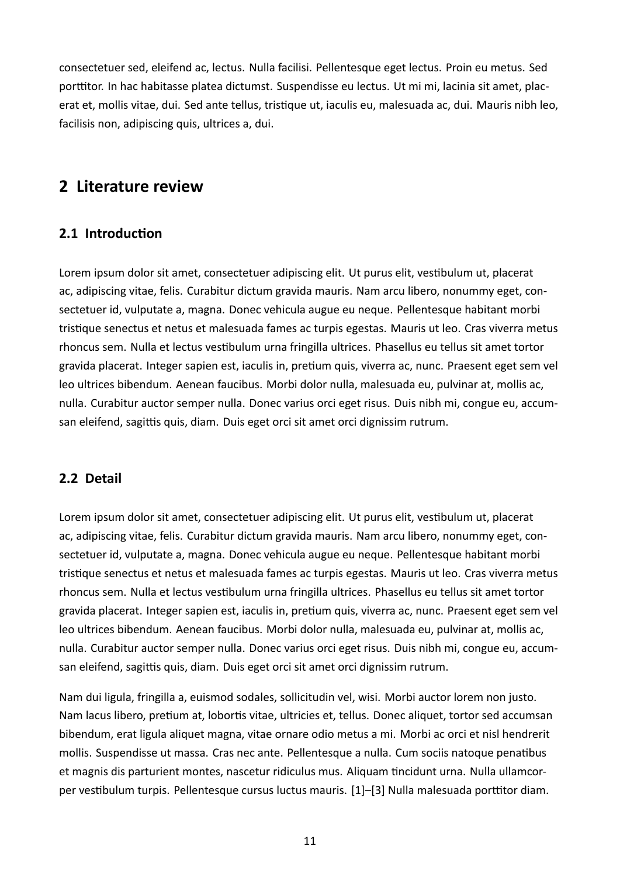consectetuer sed, eleifend ac, lectus. Nulla facilisi. Pellentesque eget lectus. Proin eu metus. Sed porttitor. In hac habitasse platea dictumst. Suspendisse eu lectus. Ut mi mi, lacinia sit amet, placerat et, mollis vitae, dui. Sed ante tellus, tristique ut, iaculis eu, malesuada ac, dui. Mauris nibh leo, facilisis non, adipiscing quis, ultrices a, dui.

### <span id="page-10-0"></span>**2 Literature review**

#### <span id="page-10-1"></span>**2.1 Introduction**

Lorem ipsum dolor sit amet, consectetuer adipiscing elit. Ut purus elit, vestibulum ut, placerat ac, adipiscing vitae, felis. Curabitur dictum gravida mauris. Nam arcu libero, nonummy eget, consectetuer id, vulputate a, magna. Donec vehicula augue eu neque. Pellentesque habitant morbi tristique senectus et netus et malesuada fames ac turpis egestas. Mauris ut leo. Cras viverra metus rhoncus sem. Nulla et lectus vestibulum urna fringilla ultrices. Phasellus eu tellus sit amet tortor gravida placerat. Integer sapien est, iaculis in, pretium quis, viverra ac, nunc. Praesent eget sem vel leo ultrices bibendum. Aenean faucibus. Morbi dolor nulla, malesuada eu, pulvinar at, mollis ac, nulla. Curabitur auctor semper nulla. Donec varius orci eget risus. Duis nibh mi, congue eu, accumsan eleifend, sagittis quis, diam. Duis eget orci sit amet orci dignissim rutrum.

#### <span id="page-10-2"></span>**2.2 Detail**

Lorem ipsum dolor sit amet, consectetuer adipiscing elit. Ut purus elit, vestibulum ut, placerat ac, adipiscing vitae, felis. Curabitur dictum gravida mauris. Nam arcu libero, nonummy eget, consectetuer id, vulputate a, magna. Donec vehicula augue eu neque. Pellentesque habitant morbi tristique senectus et netus et malesuada fames ac turpis egestas. Mauris ut leo. Cras viverra metus rhoncus sem. Nulla et lectus vestibulum urna fringilla ultrices. Phasellus eu tellus sit amet tortor gravida placerat. Integer sapien est, iaculis in, pretium quis, viverra ac, nunc. Praesent eget sem vel leo ultrices bibendum. Aenean faucibus. Morbi dolor nulla, malesuada eu, pulvinar at, mollis ac, nulla. Curabitur auctor semper nulla. Donec varius orci eget risus. Duis nibh mi, congue eu, accumsan eleifend, sagittis quis, diam. Duis eget orci sit amet orci dignissim rutrum.

Nam dui ligula, fringilla a, euismod sodales, sollicitudin vel, wisi. Morbi auctor lorem non justo. Nam lacus libero, pretium at, lobortis vitae, ultricies et, tellus. Donec aliquet, tortor sed accumsan bibendum, erat ligula aliquet magna, vitae ornare odio metus a mi. Morbi ac orci et nisl hendrerit mollis. Suspendisse ut massa. Cras nec ante. Pellentesque a nulla. Cum sociis natoque penatibus et magnis dis parturient montes, nascetur ridiculus mus. Aliquam tincidunt urna. Nulla ullamcorper vestibulum turpis. Pellentesque cursus luctus mauris. [\[1\]](#page-20-0)–[\[3\]](#page-20-1) Nulla malesuada porttitor diam.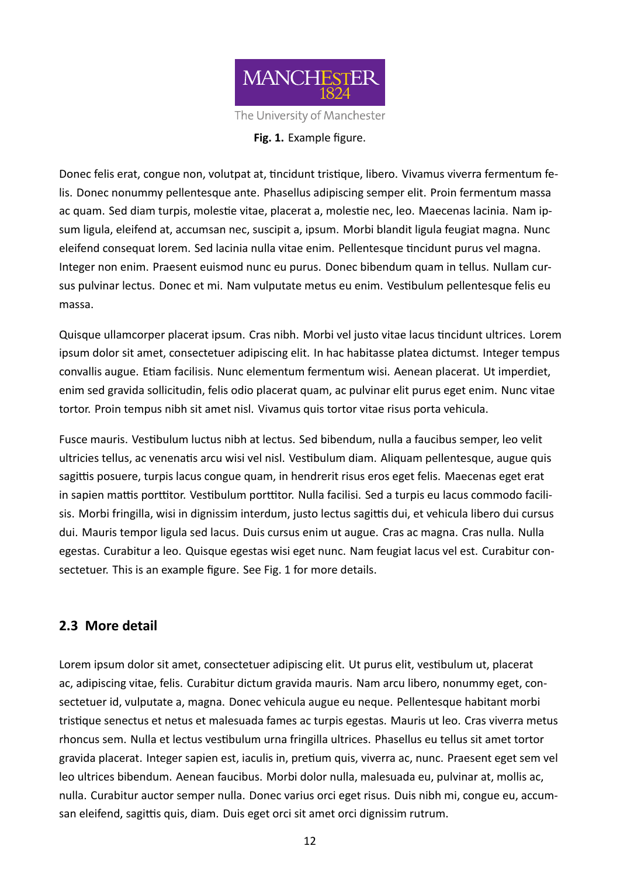

**Fig. 1.** Example figure.

<span id="page-11-1"></span>Donec felis erat, congue non, volutpat at, tincidunt tristique, libero. Vivamus viverra fermentum felis. Donec nonummy pellentesque ante. Phasellus adipiscing semper elit. Proin fermentum massa ac quam. Sed diam turpis, molestie vitae, placerat a, molestie nec, leo. Maecenas lacinia. Nam ipsum ligula, eleifend at, accumsan nec, suscipit a, ipsum. Morbi blandit ligula feugiat magna. Nunc eleifend consequat lorem. Sed lacinia nulla vitae enim. Pellentesque tincidunt purus vel magna. Integer non enim. Praesent euismod nunc eu purus. Donec bibendum quam in tellus. Nullam cursus pulvinar lectus. Donec et mi. Nam vulputate metus eu enim. Vestibulum pellentesque felis eu massa.

Quisque ullamcorper placerat ipsum. Cras nibh. Morbi vel justo vitae lacus tincidunt ultrices. Lorem ipsum dolor sit amet, consectetuer adipiscing elit. In hac habitasse platea dictumst. Integer tempus convallis augue. Etiam facilisis. Nunc elementum fermentum wisi. Aenean placerat. Ut imperdiet, enim sed gravida sollicitudin, felis odio placerat quam, ac pulvinar elit purus eget enim. Nunc vitae tortor. Proin tempus nibh sit amet nisl. Vivamus quis tortor vitae risus porta vehicula.

Fusce mauris. Vestibulum luctus nibh at lectus. Sed bibendum, nulla a faucibus semper, leo velit ultricies tellus, ac venenatis arcu wisi vel nisl. Vestibulum diam. Aliquam pellentesque, augue quis sagittis posuere, turpis lacus congue quam, in hendrerit risus eros eget felis. Maecenas eget erat in sapien mattis porttitor. Vestibulum porttitor. Nulla facilisi. Sed a turpis eu lacus commodo facilisis. Morbi fringilla, wisi in dignissim interdum, justo lectus sagittis dui, et vehicula libero dui cursus dui. Mauris tempor ligula sed lacus. Duis cursus enim ut augue. Cras ac magna. Cras nulla. Nulla egestas. Curabitur a leo. Quisque egestas wisi eget nunc. Nam feugiat lacus vel est. Curabitur consectetuer. This is an example figure. See Fig. [1](#page-11-1) for more details.

### <span id="page-11-0"></span>**2.3 More detail**

Lorem ipsum dolor sit amet, consectetuer adipiscing elit. Ut purus elit, vestibulum ut, placerat ac, adipiscing vitae, felis. Curabitur dictum gravida mauris. Nam arcu libero, nonummy eget, consectetuer id, vulputate a, magna. Donec vehicula augue eu neque. Pellentesque habitant morbi tristique senectus et netus et malesuada fames ac turpis egestas. Mauris ut leo. Cras viverra metus rhoncus sem. Nulla et lectus vestibulum urna fringilla ultrices. Phasellus eu tellus sit amet tortor gravida placerat. Integer sapien est, iaculis in, pretium quis, viverra ac, nunc. Praesent eget sem vel leo ultrices bibendum. Aenean faucibus. Morbi dolor nulla, malesuada eu, pulvinar at, mollis ac, nulla. Curabitur auctor semper nulla. Donec varius orci eget risus. Duis nibh mi, congue eu, accumsan eleifend, sagittis quis, diam. Duis eget orci sit amet orci dignissim rutrum.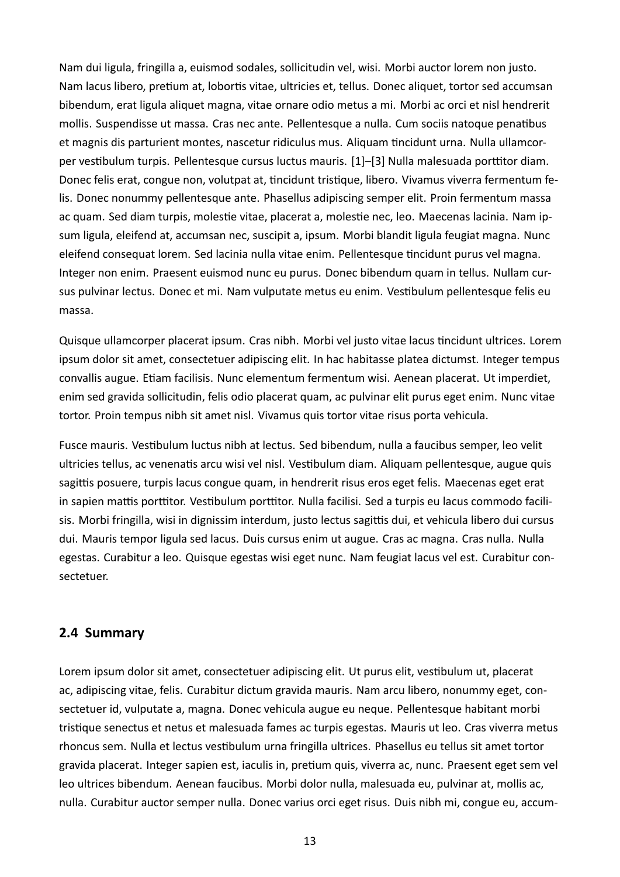Nam dui ligula, fringilla a, euismod sodales, sollicitudin vel, wisi. Morbi auctor lorem non justo. Nam lacus libero, pretium at, lobortis vitae, ultricies et, tellus. Donec aliquet, tortor sed accumsan bibendum, erat ligula aliquet magna, vitae ornare odio metus a mi. Morbi ac orci et nisl hendrerit mollis. Suspendisse ut massa. Cras nec ante. Pellentesque a nulla. Cum sociis natoque penatibus et magnis dis parturient montes, nascetur ridiculus mus. Aliquam tincidunt urna. Nulla ullamcorper vestibulum turpis. Pellentesque cursus luctus mauris. [\[1\]](#page-20-0)–[\[3\]](#page-20-1) Nulla malesuada porttitor diam. Donec felis erat, congue non, volutpat at, tincidunt tristique, libero. Vivamus viverra fermentum felis. Donec nonummy pellentesque ante. Phasellus adipiscing semper elit. Proin fermentum massa ac quam. Sed diam turpis, molestie vitae, placerat a, molestie nec, leo. Maecenas lacinia. Nam ipsum ligula, eleifend at, accumsan nec, suscipit a, ipsum. Morbi blandit ligula feugiat magna. Nunc eleifend consequat lorem. Sed lacinia nulla vitae enim. Pellentesque tincidunt purus vel magna. Integer non enim. Praesent euismod nunc eu purus. Donec bibendum quam in tellus. Nullam cursus pulvinar lectus. Donec et mi. Nam vulputate metus eu enim. Vestibulum pellentesque felis eu massa.

Quisque ullamcorper placerat ipsum. Cras nibh. Morbi vel justo vitae lacus tincidunt ultrices. Lorem ipsum dolor sit amet, consectetuer adipiscing elit. In hac habitasse platea dictumst. Integer tempus convallis augue. Etiam facilisis. Nunc elementum fermentum wisi. Aenean placerat. Ut imperdiet, enim sed gravida sollicitudin, felis odio placerat quam, ac pulvinar elit purus eget enim. Nunc vitae tortor. Proin tempus nibh sit amet nisl. Vivamus quis tortor vitae risus porta vehicula.

Fusce mauris. Vestibulum luctus nibh at lectus. Sed bibendum, nulla a faucibus semper, leo velit ultricies tellus, ac venenatis arcu wisi vel nisl. Vestibulum diam. Aliquam pellentesque, augue quis sagittis posuere, turpis lacus congue quam, in hendrerit risus eros eget felis. Maecenas eget erat in sapien mattis porttitor. Vestibulum porttitor. Nulla facilisi. Sed a turpis eu lacus commodo facilisis. Morbi fringilla, wisi in dignissim interdum, justo lectus sagittis dui, et vehicula libero dui cursus dui. Mauris tempor ligula sed lacus. Duis cursus enim ut augue. Cras ac magna. Cras nulla. Nulla egestas. Curabitur a leo. Quisque egestas wisi eget nunc. Nam feugiat lacus vel est. Curabitur consectetuer.

#### <span id="page-12-0"></span>**2.4 Summary**

Lorem ipsum dolor sit amet, consectetuer adipiscing elit. Ut purus elit, vestibulum ut, placerat ac, adipiscing vitae, felis. Curabitur dictum gravida mauris. Nam arcu libero, nonummy eget, consectetuer id, vulputate a, magna. Donec vehicula augue eu neque. Pellentesque habitant morbi tristique senectus et netus et malesuada fames ac turpis egestas. Mauris ut leo. Cras viverra metus rhoncus sem. Nulla et lectus vestibulum urna fringilla ultrices. Phasellus eu tellus sit amet tortor gravida placerat. Integer sapien est, iaculis in, pretium quis, viverra ac, nunc. Praesent eget sem vel leo ultrices bibendum. Aenean faucibus. Morbi dolor nulla, malesuada eu, pulvinar at, mollis ac, nulla. Curabitur auctor semper nulla. Donec varius orci eget risus. Duis nibh mi, congue eu, accum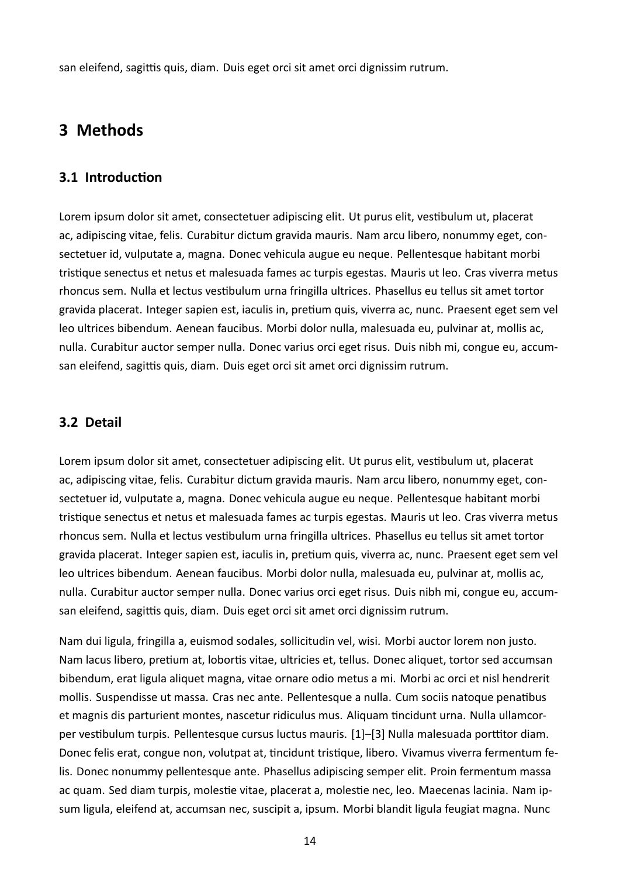<span id="page-13-0"></span>san eleifend, sagittis quis, diam. Duis eget orci sit amet orci dignissim rutrum.

### **3 Methods**

#### <span id="page-13-1"></span>**3.1 Introduction**

Lorem ipsum dolor sit amet, consectetuer adipiscing elit. Ut purus elit, vestibulum ut, placerat ac, adipiscing vitae, felis. Curabitur dictum gravida mauris. Nam arcu libero, nonummy eget, consectetuer id, vulputate a, magna. Donec vehicula augue eu neque. Pellentesque habitant morbi tristique senectus et netus et malesuada fames ac turpis egestas. Mauris ut leo. Cras viverra metus rhoncus sem. Nulla et lectus vestibulum urna fringilla ultrices. Phasellus eu tellus sit amet tortor gravida placerat. Integer sapien est, iaculis in, pretium quis, viverra ac, nunc. Praesent eget sem vel leo ultrices bibendum. Aenean faucibus. Morbi dolor nulla, malesuada eu, pulvinar at, mollis ac, nulla. Curabitur auctor semper nulla. Donec varius orci eget risus. Duis nibh mi, congue eu, accumsan eleifend, sagittis quis, diam. Duis eget orci sit amet orci dignissim rutrum.

#### <span id="page-13-2"></span>**3.2 Detail**

Lorem ipsum dolor sit amet, consectetuer adipiscing elit. Ut purus elit, vestibulum ut, placerat ac, adipiscing vitae, felis. Curabitur dictum gravida mauris. Nam arcu libero, nonummy eget, consectetuer id, vulputate a, magna. Donec vehicula augue eu neque. Pellentesque habitant morbi tristique senectus et netus et malesuada fames ac turpis egestas. Mauris ut leo. Cras viverra metus rhoncus sem. Nulla et lectus vestibulum urna fringilla ultrices. Phasellus eu tellus sit amet tortor gravida placerat. Integer sapien est, iaculis in, pretium quis, viverra ac, nunc. Praesent eget sem vel leo ultrices bibendum. Aenean faucibus. Morbi dolor nulla, malesuada eu, pulvinar at, mollis ac, nulla. Curabitur auctor semper nulla. Donec varius orci eget risus. Duis nibh mi, congue eu, accumsan eleifend, sagittis quis, diam. Duis eget orci sit amet orci dignissim rutrum.

Nam dui ligula, fringilla a, euismod sodales, sollicitudin vel, wisi. Morbi auctor lorem non justo. Nam lacus libero, pretium at, lobortis vitae, ultricies et, tellus. Donec aliquet, tortor sed accumsan bibendum, erat ligula aliquet magna, vitae ornare odio metus a mi. Morbi ac orci et nisl hendrerit mollis. Suspendisse ut massa. Cras nec ante. Pellentesque a nulla. Cum sociis natoque penatibus et magnis dis parturient montes, nascetur ridiculus mus. Aliquam tincidunt urna. Nulla ullamcorper vestibulum turpis. Pellentesque cursus luctus mauris. [\[1\]](#page-20-0)–[\[3\]](#page-20-1) Nulla malesuada porttitor diam. Donec felis erat, congue non, volutpat at, tincidunt tristique, libero. Vivamus viverra fermentum felis. Donec nonummy pellentesque ante. Phasellus adipiscing semper elit. Proin fermentum massa ac quam. Sed diam turpis, molestie vitae, placerat a, molestie nec, leo. Maecenas lacinia. Nam ipsum ligula, eleifend at, accumsan nec, suscipit a, ipsum. Morbi blandit ligula feugiat magna. Nunc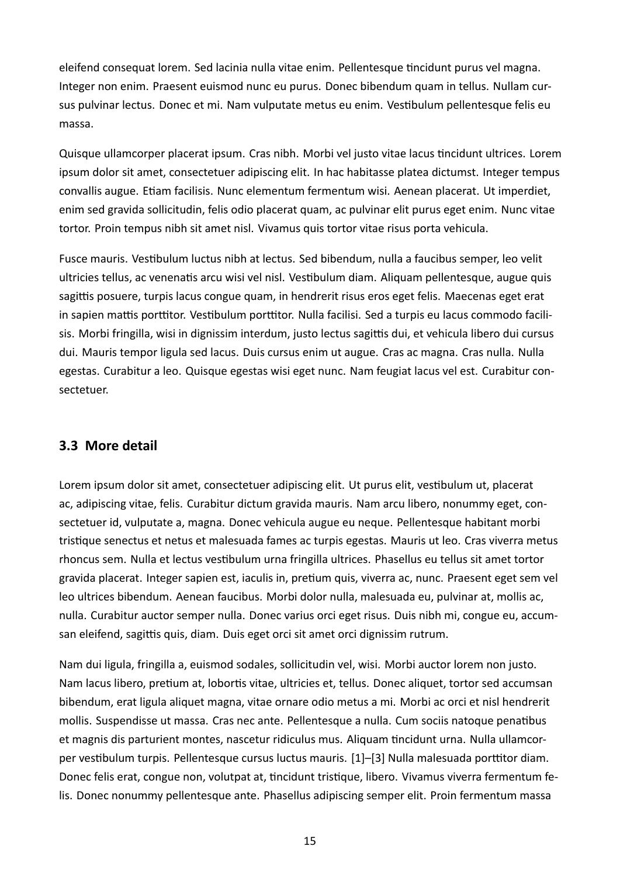eleifend consequat lorem. Sed lacinia nulla vitae enim. Pellentesque tincidunt purus vel magna. Integer non enim. Praesent euismod nunc eu purus. Donec bibendum quam in tellus. Nullam cursus pulvinar lectus. Donec et mi. Nam vulputate metus eu enim. Vestibulum pellentesque felis eu massa.

Quisque ullamcorper placerat ipsum. Cras nibh. Morbi vel justo vitae lacus tincidunt ultrices. Lorem ipsum dolor sit amet, consectetuer adipiscing elit. In hac habitasse platea dictumst. Integer tempus convallis augue. Etiam facilisis. Nunc elementum fermentum wisi. Aenean placerat. Ut imperdiet, enim sed gravida sollicitudin, felis odio placerat quam, ac pulvinar elit purus eget enim. Nunc vitae tortor. Proin tempus nibh sit amet nisl. Vivamus quis tortor vitae risus porta vehicula.

Fusce mauris. Vestibulum luctus nibh at lectus. Sed bibendum, nulla a faucibus semper, leo velit ultricies tellus, ac venenatis arcu wisi vel nisl. Vestibulum diam. Aliquam pellentesque, augue quis sagittis posuere, turpis lacus congue quam, in hendrerit risus eros eget felis. Maecenas eget erat in sapien mattis porttitor. Vestibulum porttitor. Nulla facilisi. Sed a turpis eu lacus commodo facilisis. Morbi fringilla, wisi in dignissim interdum, justo lectus sagittis dui, et vehicula libero dui cursus dui. Mauris tempor ligula sed lacus. Duis cursus enim ut augue. Cras ac magna. Cras nulla. Nulla egestas. Curabitur a leo. Quisque egestas wisi eget nunc. Nam feugiat lacus vel est. Curabitur consectetuer.

### <span id="page-14-0"></span>**3.3 More detail**

Lorem ipsum dolor sit amet, consectetuer adipiscing elit. Ut purus elit, vestibulum ut, placerat ac, adipiscing vitae, felis. Curabitur dictum gravida mauris. Nam arcu libero, nonummy eget, consectetuer id, vulputate a, magna. Donec vehicula augue eu neque. Pellentesque habitant morbi tristique senectus et netus et malesuada fames ac turpis egestas. Mauris ut leo. Cras viverra metus rhoncus sem. Nulla et lectus vestibulum urna fringilla ultrices. Phasellus eu tellus sit amet tortor gravida placerat. Integer sapien est, iaculis in, pretium quis, viverra ac, nunc. Praesent eget sem vel leo ultrices bibendum. Aenean faucibus. Morbi dolor nulla, malesuada eu, pulvinar at, mollis ac, nulla. Curabitur auctor semper nulla. Donec varius orci eget risus. Duis nibh mi, congue eu, accumsan eleifend, sagittis quis, diam. Duis eget orci sit amet orci dignissim rutrum.

Nam dui ligula, fringilla a, euismod sodales, sollicitudin vel, wisi. Morbi auctor lorem non justo. Nam lacus libero, pretium at, lobortis vitae, ultricies et, tellus. Donec aliquet, tortor sed accumsan bibendum, erat ligula aliquet magna, vitae ornare odio metus a mi. Morbi ac orci et nisl hendrerit mollis. Suspendisse ut massa. Cras nec ante. Pellentesque a nulla. Cum sociis natoque penatibus et magnis dis parturient montes, nascetur ridiculus mus. Aliquam tincidunt urna. Nulla ullamcorper vestibulum turpis. Pellentesque cursus luctus mauris. [\[1\]](#page-20-0)–[\[3\]](#page-20-1) Nulla malesuada porttitor diam. Donec felis erat, congue non, volutpat at, tincidunt tristique, libero. Vivamus viverra fermentum felis. Donec nonummy pellentesque ante. Phasellus adipiscing semper elit. Proin fermentum massa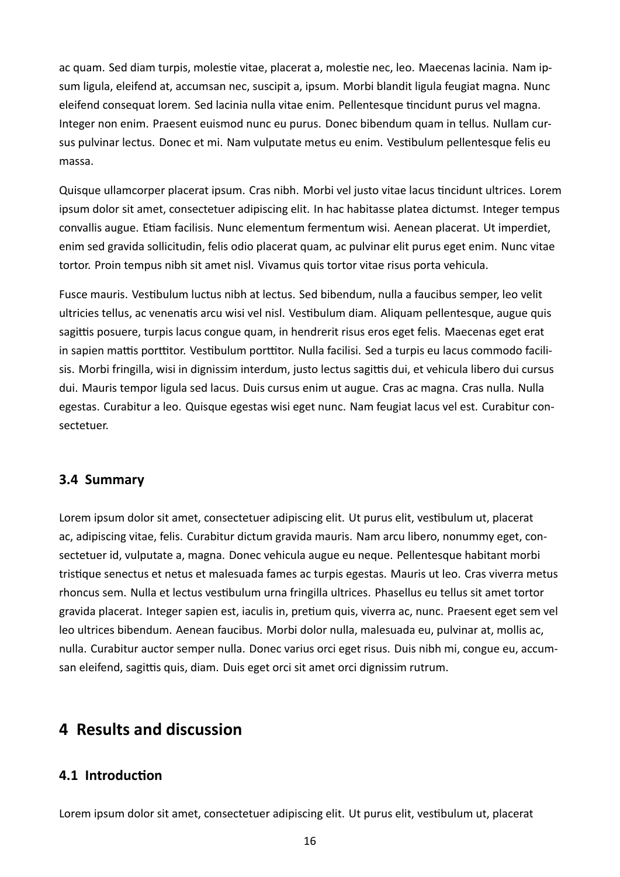ac quam. Sed diam turpis, molestie vitae, placerat a, molestie nec, leo. Maecenas lacinia. Nam ipsum ligula, eleifend at, accumsan nec, suscipit a, ipsum. Morbi blandit ligula feugiat magna. Nunc eleifend consequat lorem. Sed lacinia nulla vitae enim. Pellentesque tincidunt purus vel magna. Integer non enim. Praesent euismod nunc eu purus. Donec bibendum quam in tellus. Nullam cursus pulvinar lectus. Donec et mi. Nam vulputate metus eu enim. Vestibulum pellentesque felis eu massa.

Quisque ullamcorper placerat ipsum. Cras nibh. Morbi vel justo vitae lacus tincidunt ultrices. Lorem ipsum dolor sit amet, consectetuer adipiscing elit. In hac habitasse platea dictumst. Integer tempus convallis augue. Etiam facilisis. Nunc elementum fermentum wisi. Aenean placerat. Ut imperdiet, enim sed gravida sollicitudin, felis odio placerat quam, ac pulvinar elit purus eget enim. Nunc vitae tortor. Proin tempus nibh sit amet nisl. Vivamus quis tortor vitae risus porta vehicula.

Fusce mauris. Vestibulum luctus nibh at lectus. Sed bibendum, nulla a faucibus semper, leo velit ultricies tellus, ac venenatis arcu wisi vel nisl. Vestibulum diam. Aliquam pellentesque, augue quis sagittis posuere, turpis lacus congue quam, in hendrerit risus eros eget felis. Maecenas eget erat in sapien mattis porttitor. Vestibulum porttitor. Nulla facilisi. Sed a turpis eu lacus commodo facilisis. Morbi fringilla, wisi in dignissim interdum, justo lectus sagittis dui, et vehicula libero dui cursus dui. Mauris tempor ligula sed lacus. Duis cursus enim ut augue. Cras ac magna. Cras nulla. Nulla egestas. Curabitur a leo. Quisque egestas wisi eget nunc. Nam feugiat lacus vel est. Curabitur consectetuer.

#### <span id="page-15-0"></span>**3.4 Summary**

Lorem ipsum dolor sit amet, consectetuer adipiscing elit. Ut purus elit, vestibulum ut, placerat ac, adipiscing vitae, felis. Curabitur dictum gravida mauris. Nam arcu libero, nonummy eget, consectetuer id, vulputate a, magna. Donec vehicula augue eu neque. Pellentesque habitant morbi tristique senectus et netus et malesuada fames ac turpis egestas. Mauris ut leo. Cras viverra metus rhoncus sem. Nulla et lectus vestibulum urna fringilla ultrices. Phasellus eu tellus sit amet tortor gravida placerat. Integer sapien est, iaculis in, pretium quis, viverra ac, nunc. Praesent eget sem vel leo ultrices bibendum. Aenean faucibus. Morbi dolor nulla, malesuada eu, pulvinar at, mollis ac, nulla. Curabitur auctor semper nulla. Donec varius orci eget risus. Duis nibh mi, congue eu, accumsan eleifend, sagittis quis, diam. Duis eget orci sit amet orci dignissim rutrum.

### <span id="page-15-1"></span>**4 Results and discussion**

#### <span id="page-15-2"></span>**4.1 Introduction**

Lorem ipsum dolor sit amet, consectetuer adipiscing elit. Ut purus elit, vestibulum ut, placerat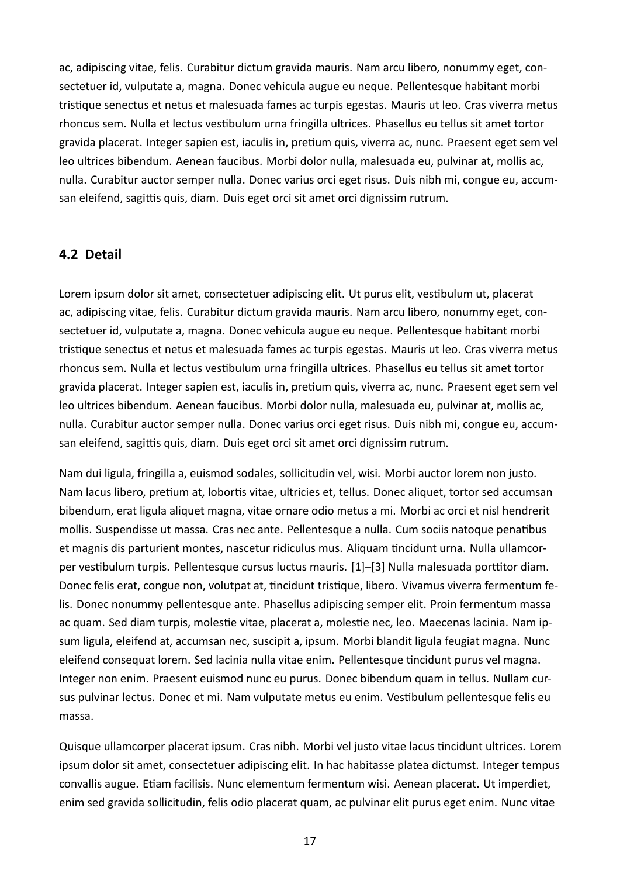ac, adipiscing vitae, felis. Curabitur dictum gravida mauris. Nam arcu libero, nonummy eget, consectetuer id, vulputate a, magna. Donec vehicula augue eu neque. Pellentesque habitant morbi tristique senectus et netus et malesuada fames ac turpis egestas. Mauris ut leo. Cras viverra metus rhoncus sem. Nulla et lectus vestibulum urna fringilla ultrices. Phasellus eu tellus sit amet tortor gravida placerat. Integer sapien est, iaculis in, pretium quis, viverra ac, nunc. Praesent eget sem vel leo ultrices bibendum. Aenean faucibus. Morbi dolor nulla, malesuada eu, pulvinar at, mollis ac, nulla. Curabitur auctor semper nulla. Donec varius orci eget risus. Duis nibh mi, congue eu, accumsan eleifend, sagittis quis, diam. Duis eget orci sit amet orci dignissim rutrum.

#### <span id="page-16-0"></span>**4.2 Detail**

Lorem ipsum dolor sit amet, consectetuer adipiscing elit. Ut purus elit, vestibulum ut, placerat ac, adipiscing vitae, felis. Curabitur dictum gravida mauris. Nam arcu libero, nonummy eget, consectetuer id, vulputate a, magna. Donec vehicula augue eu neque. Pellentesque habitant morbi tristique senectus et netus et malesuada fames ac turpis egestas. Mauris ut leo. Cras viverra metus rhoncus sem. Nulla et lectus vestibulum urna fringilla ultrices. Phasellus eu tellus sit amet tortor gravida placerat. Integer sapien est, iaculis in, pretium quis, viverra ac, nunc. Praesent eget sem vel leo ultrices bibendum. Aenean faucibus. Morbi dolor nulla, malesuada eu, pulvinar at, mollis ac, nulla. Curabitur auctor semper nulla. Donec varius orci eget risus. Duis nibh mi, congue eu, accumsan eleifend, sagittis quis, diam. Duis eget orci sit amet orci dignissim rutrum.

Nam dui ligula, fringilla a, euismod sodales, sollicitudin vel, wisi. Morbi auctor lorem non justo. Nam lacus libero, pretium at, lobortis vitae, ultricies et, tellus. Donec aliquet, tortor sed accumsan bibendum, erat ligula aliquet magna, vitae ornare odio metus a mi. Morbi ac orci et nisl hendrerit mollis. Suspendisse ut massa. Cras nec ante. Pellentesque a nulla. Cum sociis natoque penatibus et magnis dis parturient montes, nascetur ridiculus mus. Aliquam tincidunt urna. Nulla ullamcorper vestibulum turpis. Pellentesque cursus luctus mauris. [\[1\]](#page-20-0)–[\[3\]](#page-20-1) Nulla malesuada porttitor diam. Donec felis erat, congue non, volutpat at, tincidunt tristique, libero. Vivamus viverra fermentum felis. Donec nonummy pellentesque ante. Phasellus adipiscing semper elit. Proin fermentum massa ac quam. Sed diam turpis, molestie vitae, placerat a, molestie nec, leo. Maecenas lacinia. Nam ipsum ligula, eleifend at, accumsan nec, suscipit a, ipsum. Morbi blandit ligula feugiat magna. Nunc eleifend consequat lorem. Sed lacinia nulla vitae enim. Pellentesque tincidunt purus vel magna. Integer non enim. Praesent euismod nunc eu purus. Donec bibendum quam in tellus. Nullam cursus pulvinar lectus. Donec et mi. Nam vulputate metus eu enim. Vestibulum pellentesque felis eu massa.

Quisque ullamcorper placerat ipsum. Cras nibh. Morbi vel justo vitae lacus tincidunt ultrices. Lorem ipsum dolor sit amet, consectetuer adipiscing elit. In hac habitasse platea dictumst. Integer tempus convallis augue. Etiam facilisis. Nunc elementum fermentum wisi. Aenean placerat. Ut imperdiet, enim sed gravida sollicitudin, felis odio placerat quam, ac pulvinar elit purus eget enim. Nunc vitae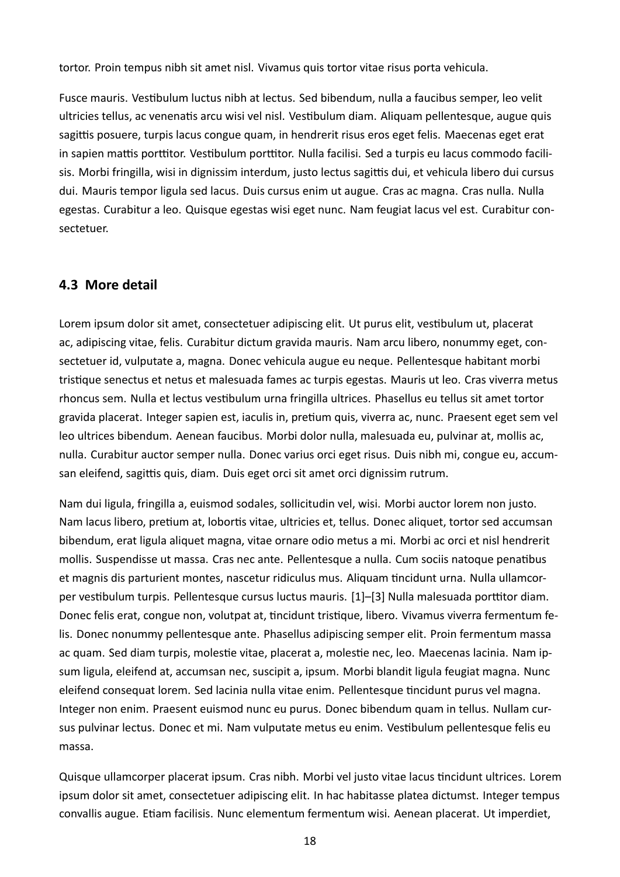tortor. Proin tempus nibh sit amet nisl. Vivamus quis tortor vitae risus porta vehicula.

Fusce mauris. Vestibulum luctus nibh at lectus. Sed bibendum, nulla a faucibus semper, leo velit ultricies tellus, ac venenatis arcu wisi vel nisl. Vestibulum diam. Aliquam pellentesque, augue quis sagittis posuere, turpis lacus congue quam, in hendrerit risus eros eget felis. Maecenas eget erat in sapien mattis porttitor. Vestibulum porttitor. Nulla facilisi. Sed a turpis eu lacus commodo facilisis. Morbi fringilla, wisi in dignissim interdum, justo lectus sagittis dui, et vehicula libero dui cursus dui. Mauris tempor ligula sed lacus. Duis cursus enim ut augue. Cras ac magna. Cras nulla. Nulla egestas. Curabitur a leo. Quisque egestas wisi eget nunc. Nam feugiat lacus vel est. Curabitur consectetuer.

#### <span id="page-17-0"></span>**4.3 More detail**

Lorem ipsum dolor sit amet, consectetuer adipiscing elit. Ut purus elit, vestibulum ut, placerat ac, adipiscing vitae, felis. Curabitur dictum gravida mauris. Nam arcu libero, nonummy eget, consectetuer id, vulputate a, magna. Donec vehicula augue eu neque. Pellentesque habitant morbi tristique senectus et netus et malesuada fames ac turpis egestas. Mauris ut leo. Cras viverra metus rhoncus sem. Nulla et lectus vestibulum urna fringilla ultrices. Phasellus eu tellus sit amet tortor gravida placerat. Integer sapien est, iaculis in, pretium quis, viverra ac, nunc. Praesent eget sem vel leo ultrices bibendum. Aenean faucibus. Morbi dolor nulla, malesuada eu, pulvinar at, mollis ac, nulla. Curabitur auctor semper nulla. Donec varius orci eget risus. Duis nibh mi, congue eu, accumsan eleifend, sagittis quis, diam. Duis eget orci sit amet orci dignissim rutrum.

Nam dui ligula, fringilla a, euismod sodales, sollicitudin vel, wisi. Morbi auctor lorem non justo. Nam lacus libero, pretium at, lobortis vitae, ultricies et, tellus. Donec aliquet, tortor sed accumsan bibendum, erat ligula aliquet magna, vitae ornare odio metus a mi. Morbi ac orci et nisl hendrerit mollis. Suspendisse ut massa. Cras nec ante. Pellentesque a nulla. Cum sociis natoque penatibus et magnis dis parturient montes, nascetur ridiculus mus. Aliquam tincidunt urna. Nulla ullamcorper vestibulum turpis. Pellentesque cursus luctus mauris. [\[1\]](#page-20-0)–[\[3\]](#page-20-1) Nulla malesuada porttitor diam. Donec felis erat, congue non, volutpat at, tincidunt tristique, libero. Vivamus viverra fermentum felis. Donec nonummy pellentesque ante. Phasellus adipiscing semper elit. Proin fermentum massa ac quam. Sed diam turpis, molestie vitae, placerat a, molestie nec, leo. Maecenas lacinia. Nam ipsum ligula, eleifend at, accumsan nec, suscipit a, ipsum. Morbi blandit ligula feugiat magna. Nunc eleifend consequat lorem. Sed lacinia nulla vitae enim. Pellentesque tincidunt purus vel magna. Integer non enim. Praesent euismod nunc eu purus. Donec bibendum quam in tellus. Nullam cursus pulvinar lectus. Donec et mi. Nam vulputate metus eu enim. Vestibulum pellentesque felis eu massa.

Quisque ullamcorper placerat ipsum. Cras nibh. Morbi vel justo vitae lacus tincidunt ultrices. Lorem ipsum dolor sit amet, consectetuer adipiscing elit. In hac habitasse platea dictumst. Integer tempus convallis augue. Etiam facilisis. Nunc elementum fermentum wisi. Aenean placerat. Ut imperdiet,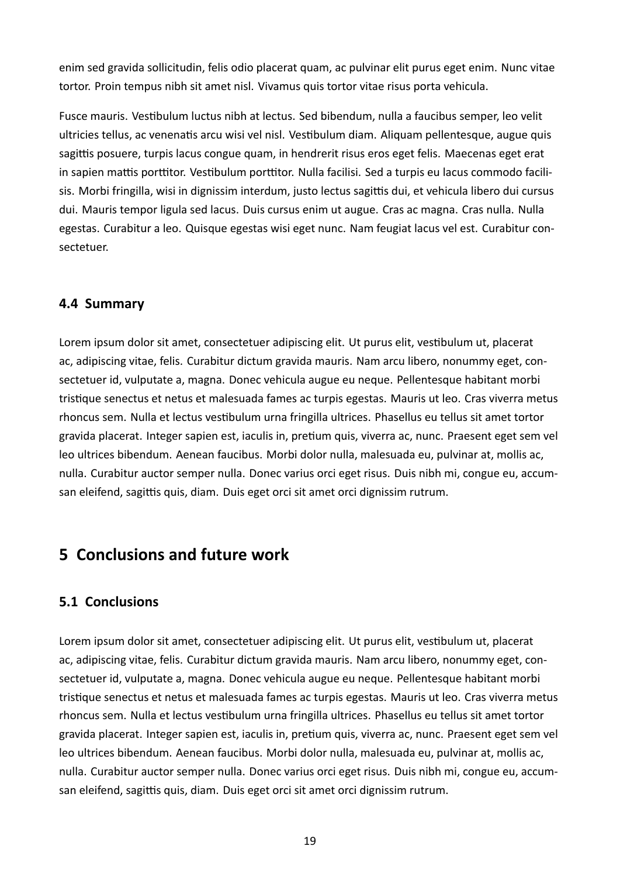enim sed gravida sollicitudin, felis odio placerat quam, ac pulvinar elit purus eget enim. Nunc vitae tortor. Proin tempus nibh sit amet nisl. Vivamus quis tortor vitae risus porta vehicula.

Fusce mauris. Vestibulum luctus nibh at lectus. Sed bibendum, nulla a faucibus semper, leo velit ultricies tellus, ac venenatis arcu wisi vel nisl. Vestibulum diam. Aliquam pellentesque, augue quis sagittis posuere, turpis lacus congue quam, in hendrerit risus eros eget felis. Maecenas eget erat in sapien mattis porttitor. Vestibulum porttitor. Nulla facilisi. Sed a turpis eu lacus commodo facilisis. Morbi fringilla, wisi in dignissim interdum, justo lectus sagittis dui, et vehicula libero dui cursus dui. Mauris tempor ligula sed lacus. Duis cursus enim ut augue. Cras ac magna. Cras nulla. Nulla egestas. Curabitur a leo. Quisque egestas wisi eget nunc. Nam feugiat lacus vel est. Curabitur consectetuer.

#### <span id="page-18-0"></span>**4.4 Summary**

Lorem ipsum dolor sit amet, consectetuer adipiscing elit. Ut purus elit, vestibulum ut, placerat ac, adipiscing vitae, felis. Curabitur dictum gravida mauris. Nam arcu libero, nonummy eget, consectetuer id, vulputate a, magna. Donec vehicula augue eu neque. Pellentesque habitant morbi tristique senectus et netus et malesuada fames ac turpis egestas. Mauris ut leo. Cras viverra metus rhoncus sem. Nulla et lectus vestibulum urna fringilla ultrices. Phasellus eu tellus sit amet tortor gravida placerat. Integer sapien est, iaculis in, pretium quis, viverra ac, nunc. Praesent eget sem vel leo ultrices bibendum. Aenean faucibus. Morbi dolor nulla, malesuada eu, pulvinar at, mollis ac, nulla. Curabitur auctor semper nulla. Donec varius orci eget risus. Duis nibh mi, congue eu, accumsan eleifend, sagittis quis, diam. Duis eget orci sit amet orci dignissim rutrum.

## <span id="page-18-1"></span>**5 Conclusions and future work**

### <span id="page-18-2"></span>**5.1 Conclusions**

Lorem ipsum dolor sit amet, consectetuer adipiscing elit. Ut purus elit, vestibulum ut, placerat ac, adipiscing vitae, felis. Curabitur dictum gravida mauris. Nam arcu libero, nonummy eget, consectetuer id, vulputate a, magna. Donec vehicula augue eu neque. Pellentesque habitant morbi tristique senectus et netus et malesuada fames ac turpis egestas. Mauris ut leo. Cras viverra metus rhoncus sem. Nulla et lectus vestibulum urna fringilla ultrices. Phasellus eu tellus sit amet tortor gravida placerat. Integer sapien est, iaculis in, pretium quis, viverra ac, nunc. Praesent eget sem vel leo ultrices bibendum. Aenean faucibus. Morbi dolor nulla, malesuada eu, pulvinar at, mollis ac, nulla. Curabitur auctor semper nulla. Donec varius orci eget risus. Duis nibh mi, congue eu, accumsan eleifend, sagittis quis, diam. Duis eget orci sit amet orci dignissim rutrum.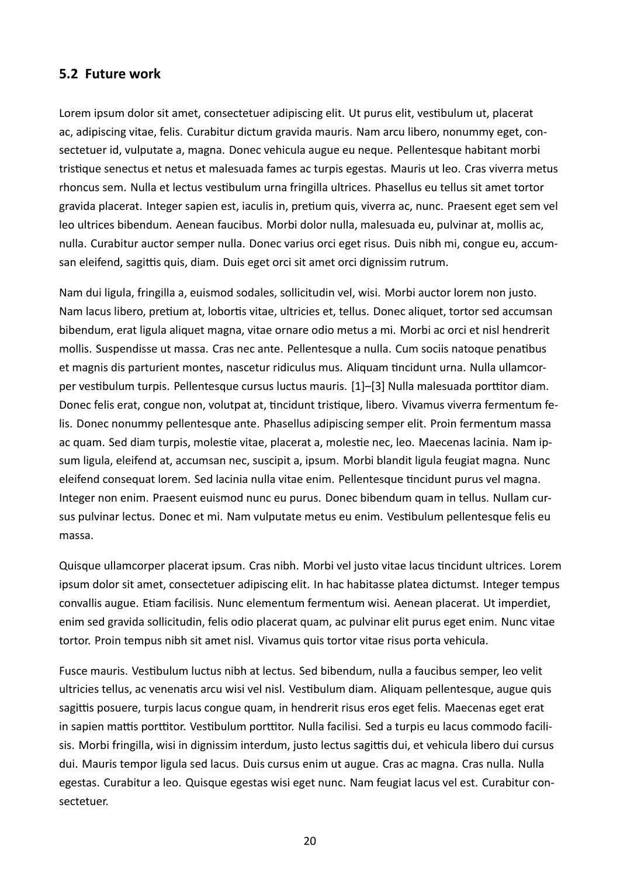#### <span id="page-19-0"></span>**5.2 Future work**

Lorem ipsum dolor sit amet, consectetuer adipiscing elit. Ut purus elit, vestibulum ut, placerat ac, adipiscing vitae, felis. Curabitur dictum gravida mauris. Nam arcu libero, nonummy eget, consectetuer id, vulputate a, magna. Donec vehicula augue eu neque. Pellentesque habitant morbi tristique senectus et netus et malesuada fames ac turpis egestas. Mauris ut leo. Cras viverra metus rhoncus sem. Nulla et lectus vestibulum urna fringilla ultrices. Phasellus eu tellus sit amet tortor gravida placerat. Integer sapien est, iaculis in, pretium quis, viverra ac, nunc. Praesent eget sem vel leo ultrices bibendum. Aenean faucibus. Morbi dolor nulla, malesuada eu, pulvinar at, mollis ac, nulla. Curabitur auctor semper nulla. Donec varius orci eget risus. Duis nibh mi, congue eu, accumsan eleifend, sagittis quis, diam. Duis eget orci sit amet orci dignissim rutrum.

Nam dui ligula, fringilla a, euismod sodales, sollicitudin vel, wisi. Morbi auctor lorem non justo. Nam lacus libero, pretium at, lobortis vitae, ultricies et, tellus. Donec aliquet, tortor sed accumsan bibendum, erat ligula aliquet magna, vitae ornare odio metus a mi. Morbi ac orci et nisl hendrerit mollis. Suspendisse ut massa. Cras nec ante. Pellentesque a nulla. Cum sociis natoque penatibus et magnis dis parturient montes, nascetur ridiculus mus. Aliquam tincidunt urna. Nulla ullamcorper vestibulum turpis. Pellentesque cursus luctus mauris. [\[1\]](#page-20-0)–[\[3\]](#page-20-1) Nulla malesuada porttitor diam. Donec felis erat, congue non, volutpat at, tincidunt tristique, libero. Vivamus viverra fermentum felis. Donec nonummy pellentesque ante. Phasellus adipiscing semper elit. Proin fermentum massa ac quam. Sed diam turpis, molestie vitae, placerat a, molestie nec, leo. Maecenas lacinia. Nam ipsum ligula, eleifend at, accumsan nec, suscipit a, ipsum. Morbi blandit ligula feugiat magna. Nunc eleifend consequat lorem. Sed lacinia nulla vitae enim. Pellentesque tincidunt purus vel magna. Integer non enim. Praesent euismod nunc eu purus. Donec bibendum quam in tellus. Nullam cursus pulvinar lectus. Donec et mi. Nam vulputate metus eu enim. Vestibulum pellentesque felis eu massa.

Quisque ullamcorper placerat ipsum. Cras nibh. Morbi vel justo vitae lacus tincidunt ultrices. Lorem ipsum dolor sit amet, consectetuer adipiscing elit. In hac habitasse platea dictumst. Integer tempus convallis augue. Etiam facilisis. Nunc elementum fermentum wisi. Aenean placerat. Ut imperdiet, enim sed gravida sollicitudin, felis odio placerat quam, ac pulvinar elit purus eget enim. Nunc vitae tortor. Proin tempus nibh sit amet nisl. Vivamus quis tortor vitae risus porta vehicula.

Fusce mauris. Vestibulum luctus nibh at lectus. Sed bibendum, nulla a faucibus semper, leo velit ultricies tellus, ac venenatis arcu wisi vel nisl. Vestibulum diam. Aliquam pellentesque, augue quis sagittis posuere, turpis lacus congue quam, in hendrerit risus eros eget felis. Maecenas eget erat in sapien mattis porttitor. Vestibulum porttitor. Nulla facilisi. Sed a turpis eu lacus commodo facilisis. Morbi fringilla, wisi in dignissim interdum, justo lectus sagittis dui, et vehicula libero dui cursus dui. Mauris tempor ligula sed lacus. Duis cursus enim ut augue. Cras ac magna. Cras nulla. Nulla egestas. Curabitur a leo. Quisque egestas wisi eget nunc. Nam feugiat lacus vel est. Curabitur consectetuer.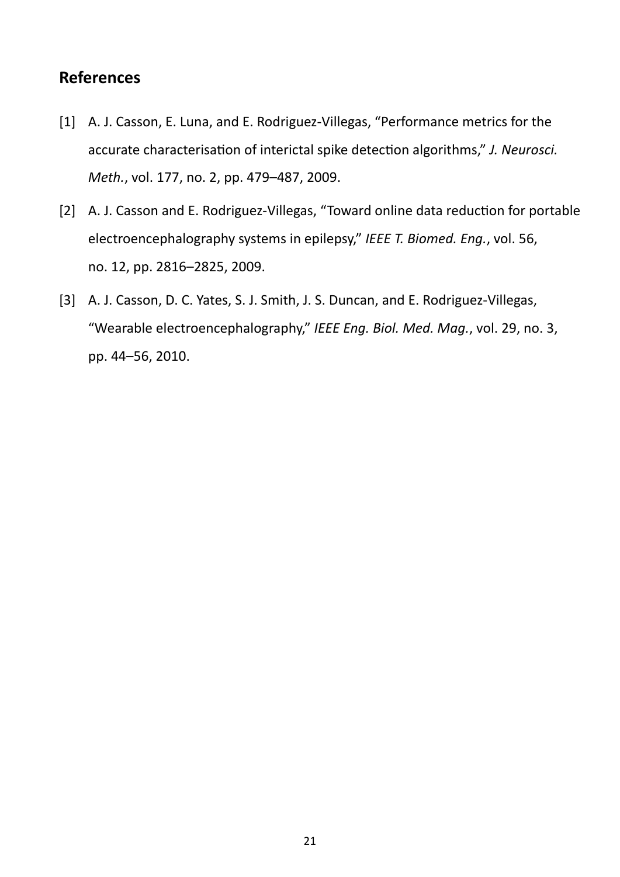## **References**

- <span id="page-20-0"></span>[1] A. J. Casson, E. Luna, and E. Rodriguez-Villegas, "Performance metrics for the accurate characterisation of interictal spike detection algorithms," *J. Neurosci. Meth.*, vol. 177, no. 2, pp. 479–487, 2009.
- [2] A. J. Casson and E. Rodriguez-Villegas, "Toward online data reduction for portable electroencephalography systems in epilepsy," *IEEE T. Biomed. Eng.*, vol. 56, no. 12, pp. 2816–2825, 2009.
- <span id="page-20-1"></span>[3] A. J. Casson, D. C. Yates, S. J. Smith, J. S. Duncan, and E. Rodriguez-Villegas, "Wearable electroencephalography," *IEEE Eng. Biol. Med. Mag.*, vol. 29, no. 3, pp. 44–56, 2010.